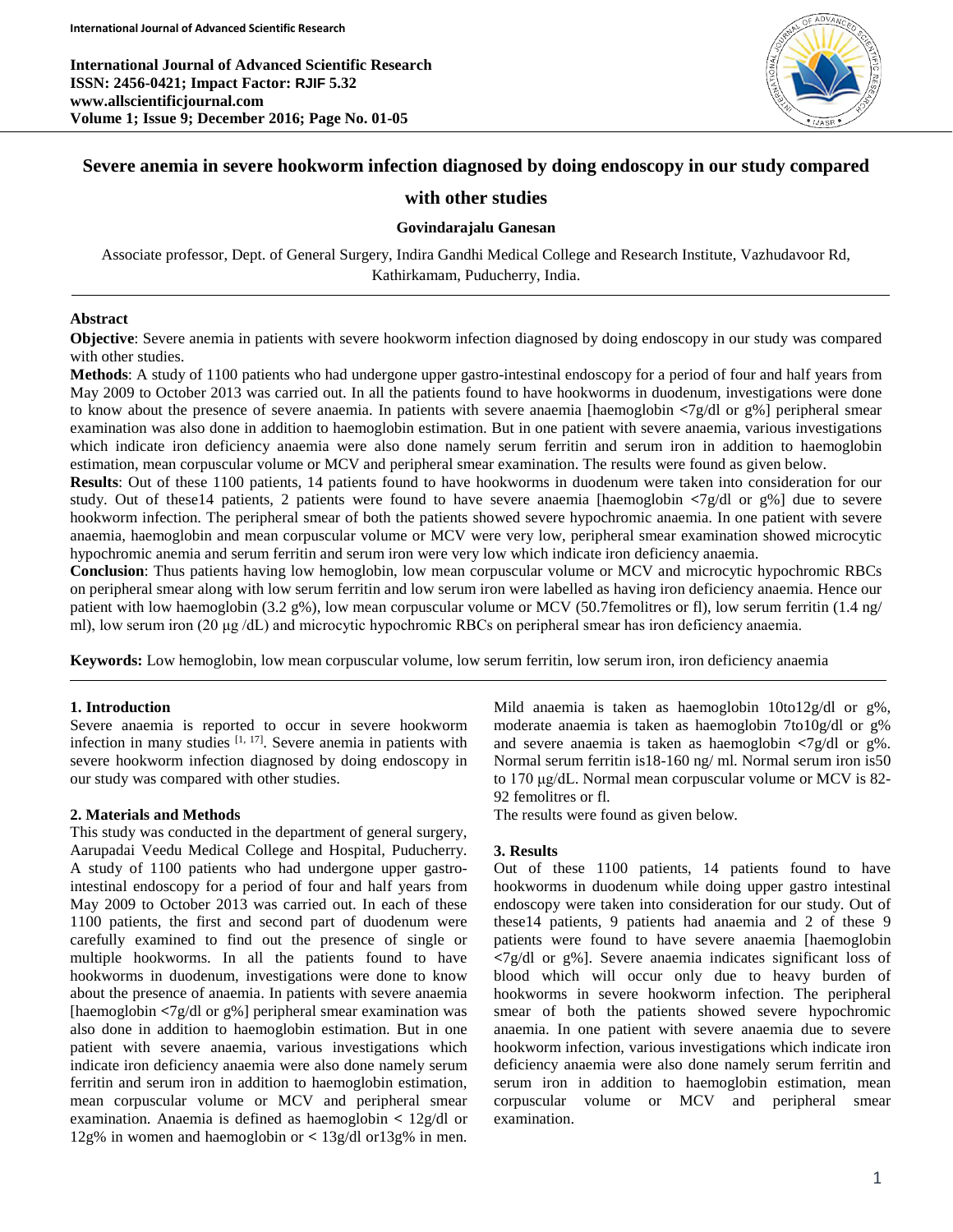**International Journal of Advanced Scientific Research ISSN: 2456-0421; Impact Factor: RJIF 5.32 www.allscientificjournal.com Volume 1; Issue 9; December 2016; Page No. 01-05**



# **Severe anemia in severe hookworm infection diagnosed by doing endoscopy in our study compared**

## **with other studies**

#### **Govindarajalu Ganesan**

Associate professor, Dept. of General Surgery, Indira Gandhi Medical College and Research Institute, Vazhudavoor Rd, Kathirkamam, Puducherry, India.

#### **Abstract**

**Objective**: Severe anemia in patients with severe hookworm infection diagnosed by doing endoscopy in our study was compared with other studies.

**Methods**: A study of 1100 patients who had undergone upper gastro-intestinal endoscopy for a period of four and half years from May 2009 to October 2013 was carried out. In all the patients found to have hookworms in duodenum, investigations were done to know about the presence of severe anaemia. In patients with severe anaemia [haemoglobin **<**7g/dl or g%] peripheral smear examination was also done in addition to haemoglobin estimation. But in one patient with severe anaemia, various investigations which indicate iron deficiency anaemia were also done namely serum ferritin and serum iron in addition to haemoglobin estimation, mean corpuscular volume or MCV and peripheral smear examination. The results were found as given below.

**Results**: Out of these 1100 patients, 14 patients found to have hookworms in duodenum were taken into consideration for our study. Out of these14 patients, 2 patients were found to have severe anaemia [haemoglobin **<**7g/dl or g%] due to severe hookworm infection. The peripheral smear of both the patients showed severe hypochromic anaemia. In one patient with severe anaemia, haemoglobin and mean corpuscular volume or MCV were very low, peripheral smear examination showed microcytic hypochromic anemia and serum ferritin and serum iron were very low which indicate iron deficiency anaemia.

**Conclusion**: Thus patients having low hemoglobin, low mean corpuscular volume or MCV and microcytic hypochromic RBCs on peripheral smear along with low serum ferritin and low serum iron were labelled as having iron deficiency anaemia. Hence our patient with low haemoglobin (3.2 g%), low mean corpuscular volume or MCV (50.7femolitres or fl), low serum ferritin (1.4 ng/ ml), low serum iron (20 μg /dL) and microcytic hypochromic RBCs on peripheral smear has iron deficiency anaemia.

**Keywords:** Low hemoglobin, low mean corpuscular volume, low serum ferritin, low serum iron, iron deficiency anaemia

#### **1. Introduction**

Severe anaemia is reported to occur in severe hookworm infection in many studies  $[1, 17]$ . Severe anemia in patients with severe hookworm infection diagnosed by doing endoscopy in our study was compared with other studies.

#### **2. Materials and Methods**

This study was conducted in the department of general surgery, Aarupadai Veedu Medical College and Hospital, Puducherry. A study of 1100 patients who had undergone upper gastrointestinal endoscopy for a period of four and half years from May 2009 to October 2013 was carried out. In each of these 1100 patients, the first and second part of duodenum were carefully examined to find out the presence of single or multiple hookworms. In all the patients found to have hookworms in duodenum, investigations were done to know about the presence of anaemia. In patients with severe anaemia [haemoglobin **<**7g/dl or g%] peripheral smear examination was also done in addition to haemoglobin estimation. But in one patient with severe anaemia, various investigations which indicate iron deficiency anaemia were also done namely serum ferritin and serum iron in addition to haemoglobin estimation, mean corpuscular volume or MCV and peripheral smear examination. Anaemia is defined as haemoglobin **<** 12g/dl or 12g% in women and haemoglobin or **<** 13g/dl or13g% in men.

Mild anaemia is taken as haemoglobin 10to12g/dl or g%, moderate anaemia is taken as haemoglobin 7to10g/dl or g% and severe anaemia is taken as haemoglobin **<**7g/dl or g%. Normal serum ferritin is18-160 ng/ ml. Normal serum iron is50 to 170 μg/dL. Normal mean corpuscular volume or MCV is 82- 92 femolitres or fl.

The results were found as given below.

### **3. Results**

Out of these 1100 patients, 14 patients found to have hookworms in duodenum while doing upper gastro intestinal endoscopy were taken into consideration for our study. Out of these14 patients, 9 patients had anaemia and 2 of these 9 patients were found to have severe anaemia [haemoglobin **<**7g/dl or g%]. Severe anaemia indicates significant loss of blood which will occur only due to heavy burden of hookworms in severe hookworm infection. The peripheral smear of both the patients showed severe hypochromic anaemia. In one patient with severe anaemia due to severe hookworm infection, various investigations which indicate iron deficiency anaemia were also done namely serum ferritin and serum iron in addition to haemoglobin estimation, mean corpuscular volume or MCV and peripheral smear examination.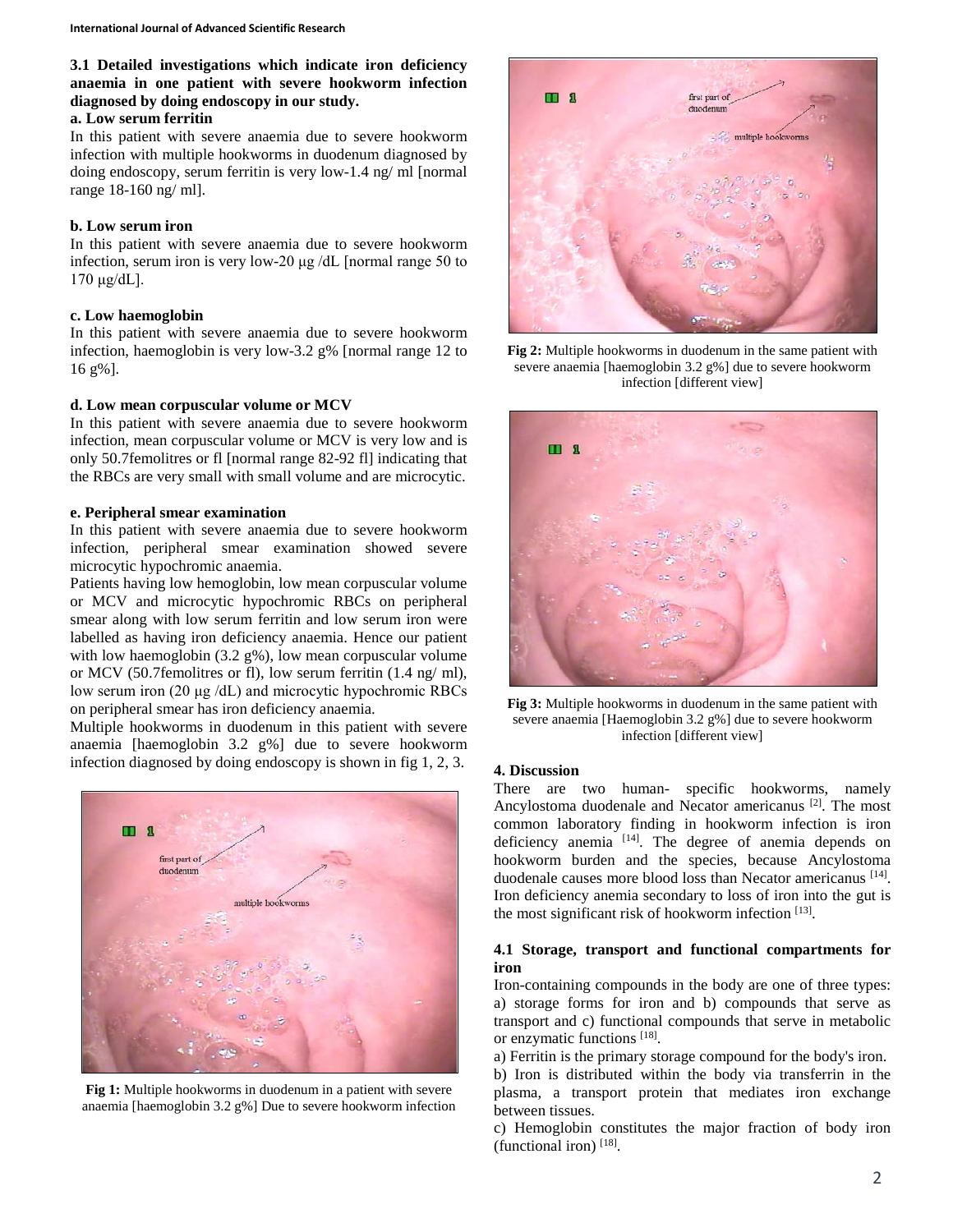**3.1 Detailed investigations which indicate iron deficiency anaemia in one patient with severe hookworm infection diagnosed by doing endoscopy in our study.**

# **a. Low serum ferritin**

In this patient with severe anaemia due to severe hookworm infection with multiple hookworms in duodenum diagnosed by doing endoscopy, serum ferritin is very low-1.4 ng/ ml [normal range 18-160 ng/ ml].

#### **b. Low serum iron**

In this patient with severe anaemia due to severe hookworm infection, serum iron is very low-20 μg /dL [normal range 50 to  $170 \mu g/dL$ ].

#### **c. Low haemoglobin**

In this patient with severe anaemia due to severe hookworm infection, haemoglobin is very low-3.2 g% [normal range 12 to 16 g%].

#### **d. Low mean corpuscular volume or MCV**

In this patient with severe anaemia due to severe hookworm infection, mean corpuscular volume or MCV is very low and is only 50.7femolitres or fl [normal range 82-92 fl] indicating that the RBCs are very small with small volume and are microcytic.

#### **e. Peripheral smear examination**

In this patient with severe anaemia due to severe hookworm infection, peripheral smear examination showed severe microcytic hypochromic anaemia.

Patients having low hemoglobin, low mean corpuscular volume or MCV and microcytic hypochromic RBCs on peripheral smear along with low serum ferritin and low serum iron were labelled as having iron deficiency anaemia. Hence our patient with low haemoglobin (3.2 g%), low mean corpuscular volume or MCV (50.7femolitres or fl), low serum ferritin (1.4 ng/ ml), low serum iron (20 μg /dL) and microcytic hypochromic RBCs on peripheral smear has iron deficiency anaemia.

Multiple hookworms in duodenum in this patient with severe anaemia [haemoglobin 3.2 g%] due to severe hookworm infection diagnosed by doing endoscopy is shown in fig 1, 2, 3.



**Fig 1:** Multiple hookworms in duodenum in a patient with severe anaemia [haemoglobin 3.2 g%] Due to severe hookworm infection



**Fig 2:** Multiple hookworms in duodenum in the same patient with severe anaemia [haemoglobin 3.2 g%] due to severe hookworm infection [different view]



**Fig 3:** Multiple hookworms in duodenum in the same patient with severe anaemia [Haemoglobin 3.2 g%] due to severe hookworm infection [different view]

## **4. Discussion**

There are two human- specific hookworms, namely Ancylostoma duodenale and Necator americanus [2]. The most common laboratory finding in hookworm infection is iron deficiency anemia [14]. The degree of anemia depends on hookworm burden and the species, because Ancylostoma duodenale causes more blood loss than Necator americanus [14]. Iron deficiency anemia secondary to loss of iron into the gut is the most significant risk of hookworm infection  $[13]$ .

## **4.1 Storage, transport and functional compartments for iron**

Iron-containing compounds in the body are one of three types: a) storage forms for iron and b) compounds that serve as transport and c) functional compounds that serve in metabolic or enzymatic functions [18].

a) Ferritin is the primary storage compound for the body's iron. b) Iron is distributed within the body via transferrin in the plasma, a transport protein that mediates iron exchange between tissues.

c) Hemoglobin constitutes the major fraction of body iron (functional iron) [18] .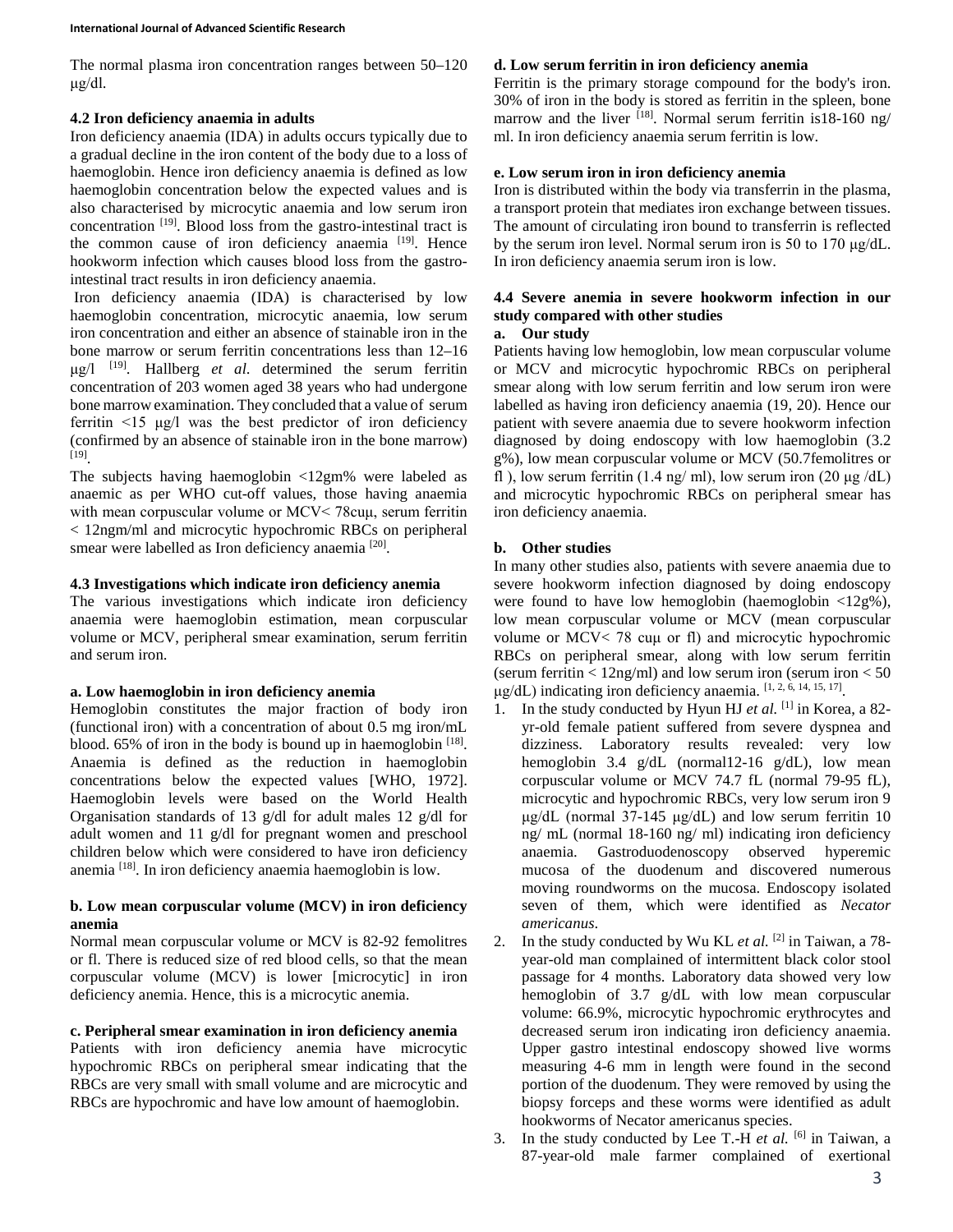The normal plasma iron concentration ranges between 50–120 μg/dl.

## **4.2 Iron deficiency anaemia in adults**

Iron deficiency anaemia (IDA) in adults occurs typically due to a gradual decline in the iron content of the body due to a loss of haemoglobin. Hence iron deficiency anaemia is defined as low haemoglobin concentration below the expected values and is also characterised by microcytic anaemia and low serum iron concentration<sup>[19]</sup>. Blood loss from the gastro-intestinal tract is the common cause of iron deficiency anaemia [19]. Hence hookworm infection which causes blood loss from the gastrointestinal tract results in iron deficiency anaemia.

Iron deficiency anaemia (IDA) is characterised by low haemoglobin concentration, microcytic anaemia, low serum iron concentration and either an absence of stainable iron in the bone marrow or serum ferritin concentrations less than 12–16 μg/l [19] . Hallberg *et al*. determined the serum ferritin concentration of 203 women aged 38 years who had undergone bone marrow examination. They concluded that a value of serum ferritin  $\leq 15$  μg/l was the best predictor of iron deficiency (confirmed by an absence of stainable iron in the bone marrow) [19] .

The subjects having haemoglobin <12gm% were labeled as anaemic as per WHO cut-off values, those having anaemia with mean corpuscular volume or MCV< 78cuμ, serum ferritin < 12ngm/ml and microcytic hypochromic RBCs on peripheral smear were labelled as Iron deficiency anaemia [20].

## **4.3 Investigations which indicate iron deficiency anemia**

The various investigations which indicate iron deficiency anaemia were haemoglobin estimation, mean corpuscular volume or MCV, peripheral smear examination, serum ferritin and serum iron.

## **a. Low haemoglobin in iron deficiency anemia**

Hemoglobin constitutes the major fraction of body iron (functional iron) with a concentration of about 0.5 mg iron/mL blood. 65% of iron in the body is bound up in haemoglobin [18]. Anaemia is defined as the reduction in haemoglobin concentrations below the expected values [WHO, 1972]. Haemoglobin levels were based on the World Health Organisation standards of 13 g/dl for adult males 12 g/dl for adult women and 11 g/dl for pregnant women and preschool children below which were considered to have iron deficiency anemia [18]. In iron deficiency anaemia haemoglobin is low.

## **b. Low mean corpuscular volume (MCV) in iron deficiency anemia**

Normal mean corpuscular volume or MCV is 82-92 femolitres or fl. There is reduced size of red blood cells, so that the mean corpuscular volume (MCV) is lower [microcytic] in iron deficiency anemia. Hence, this is a microcytic anemia.

### **c. Peripheral smear examination in iron deficiency anemia**

Patients with iron deficiency anemia have microcytic hypochromic RBCs on peripheral smear indicating that the RBCs are very small with small volume and are microcytic and RBCs are hypochromic and have low amount of haemoglobin.

### **d. Low serum ferritin in iron deficiency anemia**

Ferritin is the primary storage compound for the body's iron. 30% of iron in the body is stored as ferritin in the spleen, bone marrow and the liver <sup>[18]</sup>. Normal serum ferritin is18-160 ng/ ml. In iron deficiency anaemia serum ferritin is low.

#### **e. Low serum iron in iron deficiency anemia**

Iron is distributed within the body via transferrin in the plasma, a transport protein that mediates iron exchange between tissues. The amount of circulating iron bound to transferrin is reflected by the serum iron level. Normal serum iron is 50 to 170 μg/dL. In iron deficiency anaemia serum iron is low.

# **4.4 Severe anemia in severe hookworm infection in our study compared with other studies**

#### **a. Our study**

Patients having low hemoglobin, low mean corpuscular volume or MCV and microcytic hypochromic RBCs on peripheral smear along with low serum ferritin and low serum iron were labelled as having iron deficiency anaemia (19, 20). Hence our patient with severe anaemia due to severe hookworm infection diagnosed by doing endoscopy with low haemoglobin (3.2 g%), low mean corpuscular volume or MCV (50.7femolitres or fl ), low serum ferritin (1.4 ng/ ml), low serum iron (20  $\mu$ g/dL) and microcytic hypochromic RBCs on peripheral smear has iron deficiency anaemia.

## **b. Other studies**

In many other studies also, patients with severe anaemia due to severe hookworm infection diagnosed by doing endoscopy were found to have low hemoglobin (haemoglobin  $\langle 12g\% \rangle$ ), low mean corpuscular volume or MCV (mean corpuscular volume or MCV< 78 cuμ or fl) and microcytic hypochromic RBCs on peripheral smear, along with low serum ferritin (serum ferritin  $< 12$ ng/ml) and low serum iron (serum iron  $< 50$ ) μg/dL) indicating iron deficiency anaemia. [1, 2, 6, 14, 15, 17].

- 1. In the study conducted by Hyun HJ *et al.* [1] in Korea, a 82 yr-old female patient suffered from severe dyspnea and dizziness. Laboratory results revealed: very low hemoglobin 3.4 g/dL (normal12-16 g/dL), low mean corpuscular volume or MCV 74.7 fL (normal 79-95 fL), microcytic and hypochromic RBCs, very low serum iron 9 μg/dL (normal 37-145 μg/dL) and low serum ferritin 10 ng/ mL (normal 18-160 ng/ ml) indicating iron deficiency anaemia. Gastroduodenoscopy observed hyperemic mucosa of the duodenum and discovered numerous moving roundworms on the mucosa. Endoscopy isolated seven of them, which were identified as *Necator americanus*.
- 2. In the study conducted by Wu KL *et al.* [2] in Taiwan, a 78 year-old man complained of intermittent black color stool passage for 4 months. Laboratory data showed very low hemoglobin of 3.7 g/dL with low mean corpuscular volume: 66.9%, microcytic hypochromic erythrocytes and decreased serum iron indicating iron deficiency anaemia. Upper gastro intestinal endoscopy showed live worms measuring 4-6 mm in length were found in the second portion of the duodenum. They were removed by using the biopsy forceps and these worms were identified as adult hookworms of Necator americanus species.
- 3. In the study conducted by Lee T.-H *et al.* [6] in Taiwan, a 87-year-old male farmer complained of exertional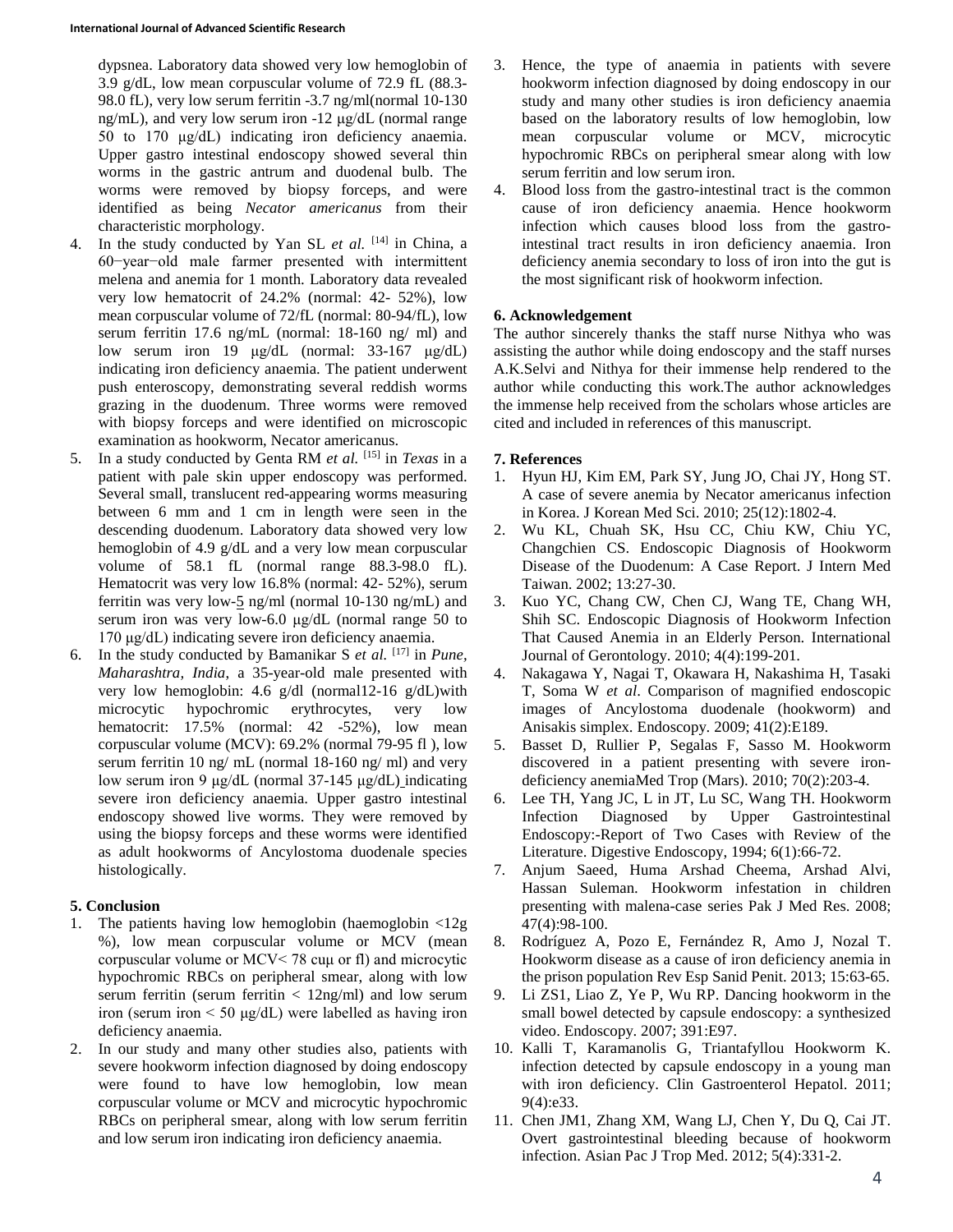dypsnea. Laboratory data showed very low hemoglobin of 3.9 g/dL, low mean corpuscular volume of 72.9 fL (88.3- 98.0 fL), very low serum ferritin -3.7 ng/ml(normal 10-130 ng/mL), and very low serum iron -12 μg/dL (normal range 50 to 170 μg/dL) indicating iron deficiency anaemia. Upper gastro intestinal endoscopy showed several thin worms in the gastric antrum and duodenal bulb. The worms were removed by biopsy forceps, and were identified as being *Necator americanus* from their characteristic morphology.

- 4. In the study conducted by Yan SL *et al.* [14] in China, a 60−year−old male farmer presented with intermittent melena and anemia for 1 month. Laboratory data revealed very low hematocrit of 24.2% (normal: 42- 52%), low mean corpuscular volume of 72/fL (normal: 80-94/fL), low serum ferritin 17.6 ng/mL (normal: 18-160 ng/ ml) and low serum iron 19 μg/dL (normal: 33-167 μg/dL) indicating iron deficiency anaemia. The patient underwent push enteroscopy, demonstrating several reddish worms grazing in the duodenum. Three worms were removed with biopsy forceps and were identified on microscopic examination as hookworm, Necator americanus.
- 5. In a study conducted by Genta RM *et al.* [15] in *Texas* in a patient with pale skin upper endoscopy was performed. Several small, translucent red-appearing worms measuring between 6 mm and 1 cm in length were seen in the descending duodenum. Laboratory data showed very low hemoglobin of 4.9 g/dL and a very low mean corpuscular volume of 58.1 fL (normal range 88.3-98.0 fL). Hematocrit was very low 16.8% (normal: 42- 52%), serum ferritin was very low-5 ng/ml (normal 10-130 ng/mL) and serum iron was very low-6.0 μg/dL (normal range 50 to 170 μg/dL) indicating severe iron deficiency anaemia.
- 6. In the study conducted by Bamanikar S *et al.* [17] in *Pune, Maharashtra, India*, a 35-year-old male presented with very low hemoglobin: 4.6 g/dl (normal12-16 g/dL)with microcytic hypochromic erythrocytes, very low hematocrit: 17.5% (normal: 42 -52%), low mean corpuscular volume (MCV): 69.2% (normal 79-95 fl ), low serum ferritin 10 ng/ mL (normal 18-160 ng/ ml) and very low serum iron 9 μg/dL (normal 37-145 μg/dL) indicating severe iron deficiency anaemia. Upper gastro intestinal endoscopy showed live worms. They were removed by using the biopsy forceps and these worms were identified as adult hookworms of Ancylostoma duodenale species histologically.

## **5. Conclusion**

- 1. The patients having low hemoglobin (haemoglobin <12g %), low mean corpuscular volume or MCV (mean corpuscular volume or MCV< 78 cuμ or fl) and microcytic hypochromic RBCs on peripheral smear, along with low serum ferritin (serum ferritin  $\langle 12ng/ml \rangle$  and low serum iron (serum iron < 50 μg/dL) were labelled as having iron deficiency anaemia.
- 2. In our study and many other studies also, patients with severe hookworm infection diagnosed by doing endoscopy were found to have low hemoglobin, low mean corpuscular volume or MCV and microcytic hypochromic RBCs on peripheral smear, along with low serum ferritin and low serum iron indicating iron deficiency anaemia.
- 3. Hence, the type of anaemia in patients with severe hookworm infection diagnosed by doing endoscopy in our study and many other studies is iron deficiency anaemia based on the laboratory results of low hemoglobin, low mean corpuscular volume or MCV, microcytic hypochromic RBCs on peripheral smear along with low serum ferritin and low serum iron.
- 4. Blood loss from the gastro-intestinal tract is the common cause of iron deficiency anaemia. Hence hookworm infection which causes blood loss from the gastrointestinal tract results in iron deficiency anaemia. Iron deficiency anemia secondary to loss of iron into the gut is the most significant risk of hookworm infection.

## **6. Acknowledgement**

The author sincerely thanks the staff nurse Nithya who was assisting the author while doing endoscopy and the staff nurses A.K.Selvi and Nithya for their immense help rendered to the author while conducting this work.The author acknowledges the immense help received from the scholars whose articles are cited and included in references of this manuscript.

### **7. References**

- 1. Hyun HJ, Kim EM, Park SY, Jung JO, Chai JY, Hong ST. A case of severe anemia by Necator americanus infection in Korea. J Korean Med Sci. 2010; 25(12):1802-4.
- 2. Wu KL, Chuah SK, Hsu CC, Chiu KW, Chiu YC, Changchien CS. Endoscopic Diagnosis of Hookworm Disease of the Duodenum: A Case Report. J Intern Med Taiwan. 2002; 13:27-30.
- 3. Kuo YC, Chang CW, Chen CJ, Wang TE, Chang WH, Shih SC. Endoscopic Diagnosis of Hookworm Infection That Caused Anemia in an Elderly Person. International Journal of Gerontology. 2010; 4(4):199-201.
- 4. Nakagawa Y, Nagai T, Okawara H, Nakashima H, Tasaki T, Soma W *et al*. Comparison of magnified endoscopic images of Ancylostoma duodenale (hookworm) and Anisakis simplex. Endoscopy. 2009; 41(2):E189.
- 5. Basset D, Rullier P, Segalas F, Sasso M. Hookworm discovered in a patient presenting with severe irondeficiency anemiaMed Trop (Mars). 2010; 70(2):203-4.
- 6. Lee TH, Yang JC, L in JT, Lu SC, Wang TH. Hookworm Infection Diagnosed by Upper Gastrointestinal Endoscopy:-Report of Two Cases with Review of the Literature. Digestive Endoscopy, 1994; 6(1):66-72.
- 7. Anjum Saeed, Huma Arshad Cheema, Arshad Alvi, Hassan Suleman. Hookworm infestation in children presenting with malena-case series Pak J Med Res. 2008; 47(4):98-100.
- 8. Rodríguez A, Pozo E, Fernández R, Amo J, Nozal T. Hookworm disease as a cause of iron deficiency anemia in the prison population Rev Esp Sanid Penit. 2013; 15:63-65.
- 9. Li ZS1, Liao Z, Ye P, Wu RP. Dancing hookworm in the small bowel detected by capsule endoscopy: a synthesized video. Endoscopy. 2007; 391:E97.
- 10. Kalli T, Karamanolis G, Triantafyllou Hookworm K. infection detected by capsule endoscopy in a young man with iron deficiency. Clin Gastroenterol Hepatol. 2011; 9(4):e33.
- 11. Chen JM1, Zhang XM, Wang LJ, Chen Y, Du Q, Cai JT. Overt gastrointestinal bleeding because of hookworm infection. Asian Pac J Trop Med. 2012; 5(4):331-2.